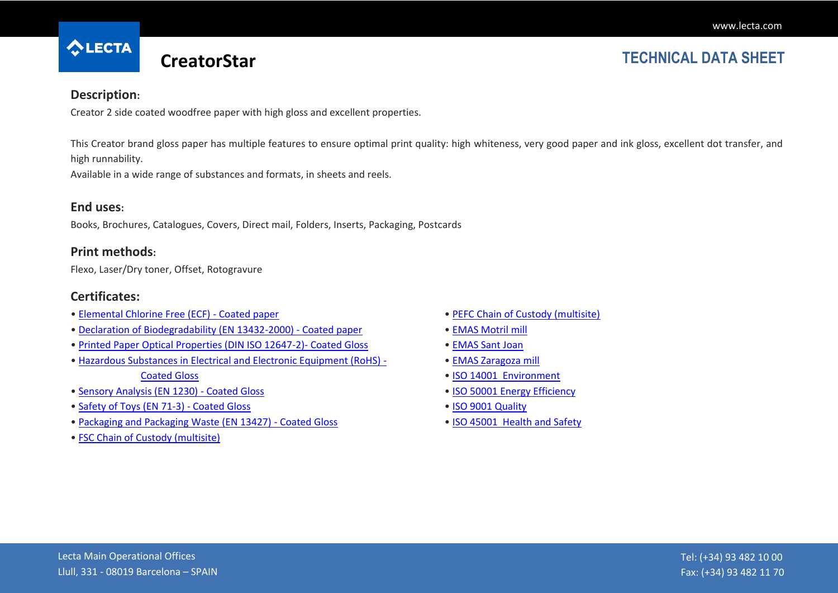

# **CreatorStar TECHNICAL DATA SHEET**

#### **Description:**

Creator 2 side coated woodfree paper with high gloss and excellent properties.

This Creator brand gloss paper has multiple features to ensure optimal print quality: high whiteness, very good paper and ink gloss, excellent dot transfer, and high runnability.

Available in a wide range of substances and formats, in sheets and reels.

### **End uses:**

Books, Brochures, Catalogues, Covers, Direct mail, Folders, Inserts, Packaging, Postcards

#### **Print methods:**

Flexo, Laser/Dry toner, Offset, Rotogravure

### **Certificates:**

- [Elemental Chlorine Free \(ECF\) -](http://cmspro.lecta.com/Coated_Paper/LectaProductCertificates/Lecta_ECF_en.pdf) Coated paper
- [Declaration of Biodegradability \(EN 13432-2000\) -](http://cmspro.lecta.com/Coated_Paper/LectaProductCertificates/DeclarationBiodegradability.pdf) Coated paper
- [Printed Paper Optical Properties \(DIN ISO 12647-2\)-](http://cmspro.lecta.com/Coated_Paper/LectaProductCertificates/Gloss_OpticalProperties.pdf) Coated Gloss
- [Hazardous Substances in Electrical and Electronic Equipment \(RoHS\) -](http://cmspro.lecta.com/Coated_Paper/LectaProductCertificates/Gloss_RoHS.pdf) [Coated Gloss](http://cmspro.lecta.com/Coated_Paper/LectaProductCertificates/Gloss_RoHS.pdf)
- [Sensory Analysis \(EN 1230\) -](http://cmspro.lecta.com/Coated_Paper/LectaProductCertificates/Gloss_SensoryAnalysis.pdf) Coated Gloss
- [Safety of Toys \(EN 71-3\) -](http://cmspro.lecta.com/Coated_Paper/LectaProductCertificates/Gloss_SafetyToys.pdf) Coated Gloss
- [Packaging and Packaging Waste \(EN 13427\) -](http://cmspro.lecta.com/Coated_Paper/LectaProductCertificates/Gloss_Packaging.pdf) Coated Gloss
- [FSC Chain of Custody \(multisite\)](http://cmspro.lecta.com/Certificates/FSCMultisite.pdf)
- [PEFC Chain of Custody \(multisite\)](http://cmspro.lecta.com/Certificates/PEFCMultisite.pdf)
- [EMAS Motril mill](http://cmspro.lecta.com/Certificates/MotrilEMAS.pdf)
- [EMAS Sant Joan](http://cmspro.lecta.com/Certificates/SantJoanEMAS.pdf)
- [EMAS Zaragoza mill](http://cmspro.lecta.com/Certificates/ZaragozaEMAS.pdf)
- [ISO 14001 Environment](http://cmspro.lecta.com/Certificates/Lecta14001.pdf)
- [ISO 50001 Energy Efficiency](http://cmspro.lecta.com/Certificates/Lecta50001.pdf)
- [ISO 9001 Quality](http://cmspro.lecta.com/Certificates/Lecta9001.pdf)
- [ISO 45001 Health and Safety](http://cmspro.lecta.com/Certificates/Lecta45001Multisite.pdf)